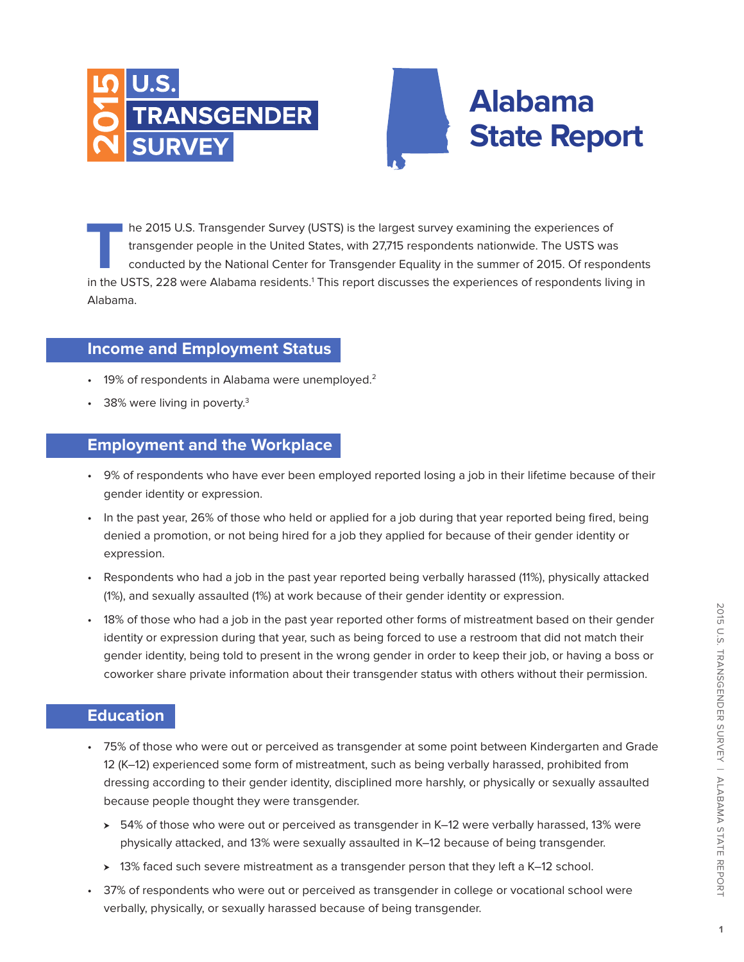



**T**he 2015 U.S. Transgender Survey (USTS) is the largest survey examining the experiences of transgender people in the United States, with 27,715 respondents nationwide. The USTS was conducted by the National Center for Transgender Equality in the summer of 2015. Of respondents in the USTS, 228 were Alabama residents.<sup>1</sup> This report discusses the experiences of respondents living in Alabama.

## **Income and Employment Status**

- 19% of respondents in Alabama were unemployed.<sup>2</sup>
- 38% were living in poverty.<sup>3</sup>

### **Employment and the Workplace**

- 9% of respondents who have ever been employed reported losing a job in their lifetime because of their gender identity or expression.
- In the past year, 26% of those who held or applied for a job during that year reported being fired, being denied a promotion, or not being hired for a job they applied for because of their gender identity or expression.
- Respondents who had a job in the past year reported being verbally harassed (11%), physically attacked (1%), and sexually assaulted (1%) at work because of their gender identity or expression.
- 18% of those who had a job in the past year reported other forms of mistreatment based on their gender identity or expression during that year, such as being forced to use a restroom that did not match their gender identity, being told to present in the wrong gender in order to keep their job, or having a boss or coworker share private information about their transgender status with others without their permission.

#### **Education**

- 75% of those who were out or perceived as transgender at some point between Kindergarten and Grade 12 (K–12) experienced some form of mistreatment, such as being verbally harassed, prohibited from dressing according to their gender identity, disciplined more harshly, or physically or sexually assaulted because people thought they were transgender.
	- $\rightarrow$  54% of those who were out or perceived as transgender in K–12 were verbally harassed, 13% were physically attacked, and 13% were sexually assaulted in K–12 because of being transgender.
	- > 13% faced such severe mistreatment as a transgender person that they left a K–12 school.
- 37% of respondents who were out or perceived as transgender in college or vocational school were verbally, physically, or sexually harassed because of being transgender.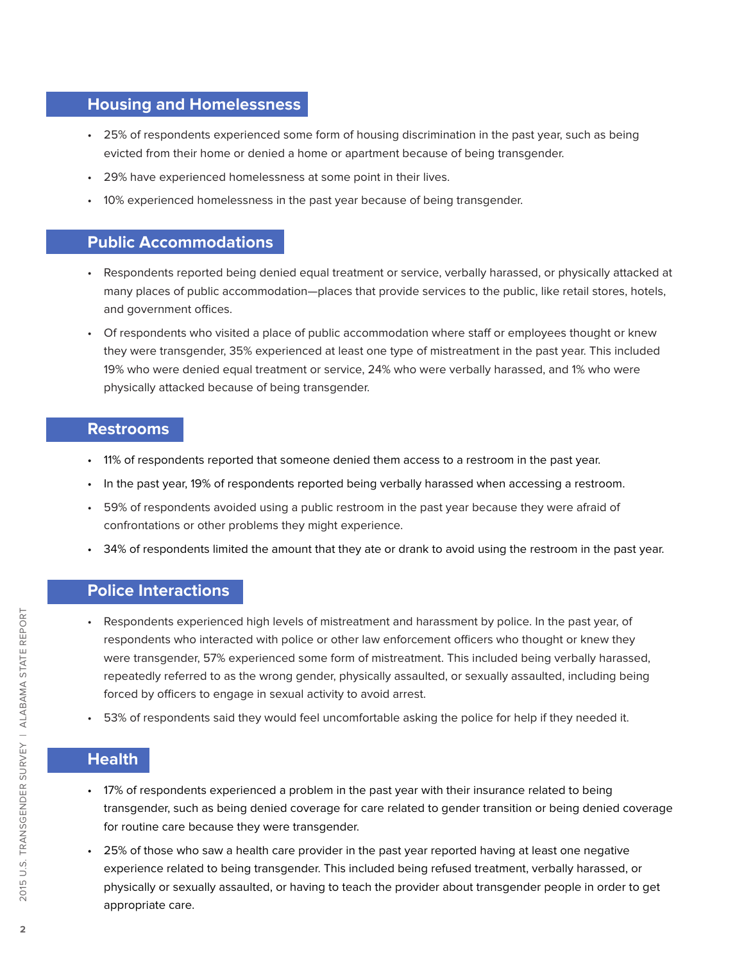#### **Housing and Homelessness**

- 25% of respondents experienced some form of housing discrimination in the past year, such as being evicted from their home or denied a home or apartment because of being transgender.
- 29% have experienced homelessness at some point in their lives.
- 10% experienced homelessness in the past year because of being transgender.

#### **Public Accommodations**

- Respondents reported being denied equal treatment or service, verbally harassed, or physically attacked at many places of public accommodation—places that provide services to the public, like retail stores, hotels, and government offices.
- Of respondents who visited a place of public accommodation where staff or employees thought or knew they were transgender, 35% experienced at least one type of mistreatment in the past year. This included 19% who were denied equal treatment or service, 24% who were verbally harassed, and 1% who were physically attacked because of being transgender.

#### **Restrooms**

- 11% of respondents reported that someone denied them access to a restroom in the past year.
- In the past year, 19% of respondents reported being verbally harassed when accessing a restroom.
- 59% of respondents avoided using a public restroom in the past year because they were afraid of confrontations or other problems they might experience.
- 34% of respondents limited the amount that they ate or drank to avoid using the restroom in the past year.

#### **Police Interactions**

- Respondents experienced high levels of mistreatment and harassment by police. In the past year, of respondents who interacted with police or other law enforcement officers who thought or knew they were transgender, 57% experienced some form of mistreatment. This included being verbally harassed, repeatedly referred to as the wrong gender, physically assaulted, or sexually assaulted, including being forced by officers to engage in sexual activity to avoid arrest.
- 53% of respondents said they would feel uncomfortable asking the police for help if they needed it.

## **Health**

- 17% of respondents experienced a problem in the past year with their insurance related to being transgender, such as being denied coverage for care related to gender transition or being denied coverage for routine care because they were transgender.
- 25% of those who saw a health care provider in the past year reported having at least one negative experience related to being transgender. This included being refused treatment, verbally harassed, or physically or sexually assaulted, or having to teach the provider about transgender people in order to get appropriate care.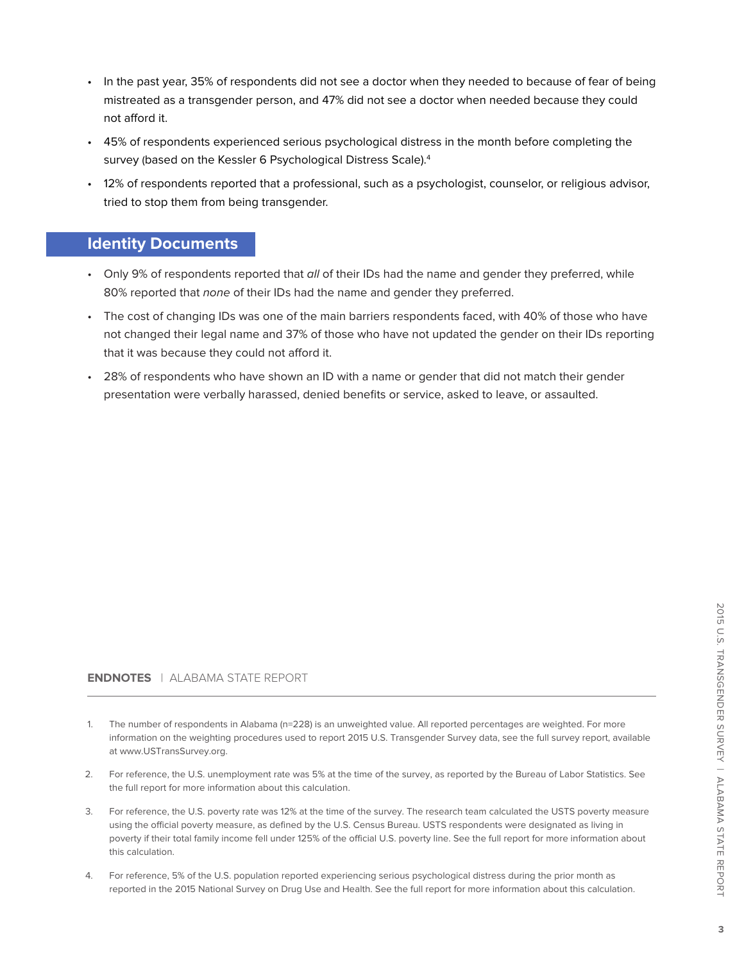- In the past year, 35% of respondents did not see a doctor when they needed to because of fear of being mistreated as a transgender person, and 47% did not see a doctor when needed because they could not afford it.
- 45% of respondents experienced serious psychological distress in the month before completing the survey (based on the Kessler 6 Psychological Distress Scale).<sup>4</sup>
- 12% of respondents reported that a professional, such as a psychologist, counselor, or religious advisor, tried to stop them from being transgender.

#### **Identity Documents**

- Only 9% of respondents reported that all of their IDs had the name and gender they preferred, while 80% reported that none of their IDs had the name and gender they preferred.
- The cost of changing IDs was one of the main barriers respondents faced, with 40% of those who have not changed their legal name and 37% of those who have not updated the gender on their IDs reporting that it was because they could not afford it.
- 28% of respondents who have shown an ID with a name or gender that did not match their gender presentation were verbally harassed, denied benefits or service, asked to leave, or assaulted.

#### **ENDNOTES** | ALABAMA STATE REPORT

- The number of respondents in Alabama (n=228) is an unweighted value. All reported percentages are weighted. For more information on the weighting procedures used to report 2015 U.S. Transgender Survey data, see the full survey report, available at www.USTransSurvey.org.
- 2. For reference, the U.S. unemployment rate was 5% at the time of the survey, as reported by the Bureau of Labor Statistics. See the full report for more information about this calculation.
- 3. For reference, the U.S. poverty rate was 12% at the time of the survey. The research team calculated the USTS poverty measure using the official poverty measure, as defined by the U.S. Census Bureau. USTS respondents were designated as living in poverty if their total family income fell under 125% of the official U.S. poverty line. See the full report for more information about this calculation.
- 4. For reference, 5% of the U.S. population reported experiencing serious psychological distress during the prior month as reported in the 2015 National Survey on Drug Use and Health. See the full report for more information about this calculation.